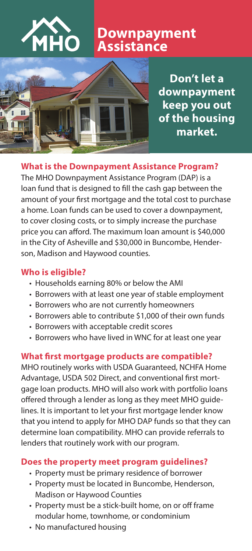

# **Downpayment Assistance**



**Don't let a downpayment keep you out of the housing market.**

### **What is the Downpayment Assistance Program?**

The MHO Downpayment Assistance Program (DAP) is a loan fund that is designed to fill the cash gap between the amount of your first mortgage and the total cost to purchase a home. Loan funds can be used to cover a downpayment, to cover closing costs, or to simply increase the purchase price you can afford. The maximum loan amount is \$40,000 in the City of Asheville and \$30,000 in Buncombe, Henderson, Madison and Haywood counties.

# **Who is eligible?**

- Households earning 80% or below the AMI
- Borrowers with at least one year of stable employment
- Borrowers who are not currently homeowners
- Borrowers able to contribute \$1,000 of their own funds
- Borrowers with acceptable credit scores
- Borrowers who have lived in WNC for at least one year

### **What first mortgage products are compatible?**

MHO routinely works with USDA Guaranteed, NCHFA Home Advantage, USDA 502 Direct, and conventional first mortgage loan products. MHO will also work with portfolio loans offered through a lender as long as they meet MHO guidelines. It is important to let your first mortgage lender know that you intend to apply for MHO DAP funds so that they can determine loan compatibility. MHO can provide referrals to lenders that routinely work with our program.

### **Does the property meet program guidelines?**

- Property must be primary residence of borrower
- Property must be located in Buncombe, Henderson, Madison or Haywood Counties
- Property must be a stick-built home, on or off frame modular home, townhome, or condominium
- No manufactured housing